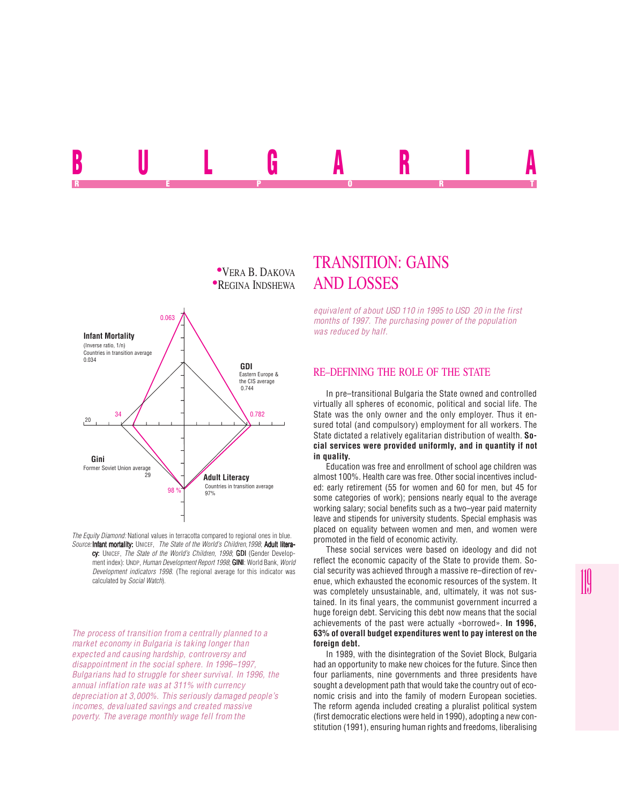



*The Equity Diamond:* National values in terracotta compared to regional ones in blue. *Source:* Infant mortality: UNICEF, *The State of the World's Children, 1998*; Adult literacy: UNICEF, *The State of the World's Children, 1998*; GDI (Gender Development index): UNDP, *Human Development Report 1998*; **GINI**: World Bank, *World Development indicators 1998*. (The regional average for this indicator was calculated by *Social Watch*).

*The process of transition from a centrally planned to a market economy in Bulgaria is taking longer than expected and causing hardship, controversy and disappointment in the social sphere. In 1996–1997, Bulgarians had to struggle for sheer survival. In 1996, the annual inflation rate was at 311% with currency depreciation at 3,000%. This seriously damaged people's incomes, devaluated savings and created massive poverty. The average monthly wage fell from the*

# TRANSITION: GAINS

*equivalent of about USD 110 in 1995 to USD 20 in the first months of 1997. The purchasing power of the population was reduced by half.*

#### RE–DEFINING THE ROLE OF THE STATE

In pre–transitional Bulgaria the State owned and controlled virtually all spheres of economic, political and social life. The State was the only owner and the only employer. Thus it ensured total (and compulsory) employment for all workers. The State dictated a relatively egalitarian distribution of wealth. **Social services were provided uniformly, and in quantity if not in quality.**

Education was free and enrollment of school age children was almost 100%. Health care was free. Other social incentives included: early retirement (55 for women and 60 for men, but 45 for some categories of work); pensions nearly equal to the average working salary; social benefits such as a two–year paid maternity leave and stipends for university students. Special emphasis was placed on equality between women and men, and women were promoted in the field of economic activity.

These social services were based on ideology and did not reflect the economic capacity of the State to provide them. Social security was achieved through a massive re–direction of revenue, which exhausted the economic resources of the system. It was completely unsustainable, and, ultimately, it was not sustained. In its final years, the communist government incurred a huge foreign debt. Servicing this debt now means that the social achievements of the past were actually «borrowed». **In 1996, 63% of overall budget expenditures went to pay interest on the foreign debt.**

In 1989, with the disintegration of the Soviet Block, Bulgaria had an opportunity to make new choices for the future. Since then four parliaments, nine governments and three presidents have sought a development path that would take the country out of economic crisis and into the family of modern European societies. The reform agenda included creating a pluralist political system (first democratic elections were held in 1990), adopting a new constitution (1991), ensuring human rights and freedoms, liberalising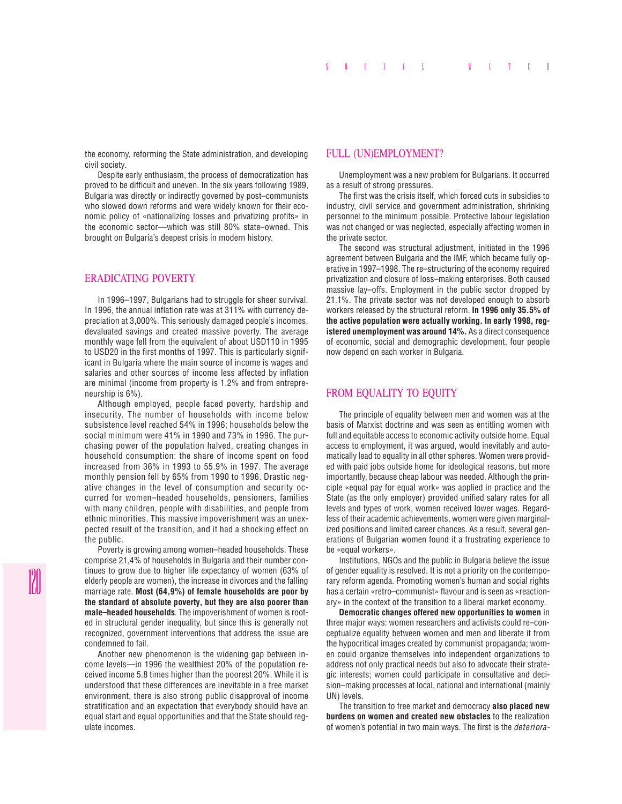the economy, reforming the State administration, and developing civil society.

Despite early enthusiasm, the process of democratization has proved to be difficult and uneven. In the six years following 1989, Bulgaria was directly or indirectly governed by post–communists who slowed down reforms and were widely known for their economic policy of «nationalizing losses and privatizing profits» in the economic sector—which was still 80% state–owned. This brought on Bulgaria's deepest crisis in modern history.

# ERADICATING POVERTY

In 1996–1997, Bulgarians had to struggle for sheer survival. In 1996, the annual inflation rate was at 311% with currency depreciation at 3,000%. This seriously damaged people's incomes, devaluated savings and created massive poverty. The average monthly wage fell from the equivalent of about USD110 in 1995 to USD20 in the first months of 1997. This is particularly significant in Bulgaria where the main source of income is wages and salaries and other sources of income less affected by inflation are minimal (income from property is 1.2% and from entrepreneurship is 6%).

Although employed, people faced poverty, hardship and insecurity. The number of households with income below subsistence level reached 54% in 1996; households below the social minimum were 41% in 1990 and 73% in 1996. The purchasing power of the population halved, creating changes in household consumption: the share of income spent on food increased from 36% in 1993 to 55.9% in 1997. The average monthly pension fell by 65% from 1990 to 1996. Drastic negative changes in the level of consumption and security occurred for women–headed households, pensioners, families with many children, people with disabilities, and people from ethnic minorities. This massive impoverishment was an unexpected result of the transition, and it had a shocking effect on the public.

Poverty is growing among women–headed households. These comprise 21,4% of households in Bulgaria and their number continues to grow due to higher life expectancy of women (63% of elderly people are women), the increase in divorces and the falling marriage rate. **Most (64,9%) of female households are poor by the standard of absolute poverty, but they are also poorer than male–headed households**. The impoverishment of women is rooted in structural gender inequality, but since this is generally not recognized, government interventions that address the issue are condemned to fail.

Another new phenomenon is the widening gap between income levels—in 1996 the wealthiest 20% of the population received income 5.8 times higher than the poorest 20%. While it is understood that these differences are inevitable in a free market environment, there is also strong public disapproval of income stratification and an expectation that everybody should have an equal start and equal opportunities and that the State should regulate incomes.

#### FULL (UN)EMPLOYMENT?

Unemployment was a new problem for Bulgarians. It occurred as a result of strong pressures.

The first was the crisis itself, which forced cuts in subsidies to industry, civil service and government administration, shrinking personnel to the minimum possible. Protective labour legislation was not changed or was neglected, especially affecting women in the private sector.

The second was structural adjustment, initiated in the 1996 agreement between Bulgaria and the IMF, which became fully operative in 1997–1998. The re–structuring of the economy required privatization and closure of loss–making enterprises. Both caused massive lay–offs. Employment in the public sector dropped by 21.1%. The private sector was not developed enough to absorb workers released by the structural reform. **In 1996 only 35.5% of the active population were actually working. In early 1998, registered unemployment was around 14%.** As a direct consequence of economic, social and demographic development, four people now depend on each worker in Bulgaria.

## FROM EQUALITY TO EQUITY

The principle of equality between men and women was at the basis of Marxist doctrine and was seen as entitling women with full and equitable access to economic activity outside home. Equal access to employment, it was argued, would inevitably and automatically lead to equality in all other spheres. Women were provided with paid jobs outside home for ideological reasons, but more importantly, because cheap labour was needed. Although the principle «equal pay for equal work» was applied in practice and the State (as the only employer) provided unified salary rates for all levels and types of work, women received lower wages. Regardless of their academic achievements, women were given marginalized positions and limited career chances. As a result, several generations of Bulgarian women found it a frustrating experience to be «equal workers».

Institutions, NGOs and the public in Bulgaria believe the issue of gender equality is resolved. It is not a priority on the contemporary reform agenda. Promoting women's human and social rights has a certain «retro–communist» flavour and is seen as «reactionary» in the context of the transition to a liberal market economy.

**Democratic changes offered new opportunities to women** in three major ways: women researchers and activists could re–conceptualize equality between women and men and liberate it from the hypocritical images created by communist propaganda; women could organize themselves into independent organizations to address not only practical needs but also to advocate their strategic interests; women could participate in consultative and decision–making processes at local, national and international (mainly UN) levels.

The transition to free market and democracy **also placed new burdens on women and created new obstacles** to the realization of women's potential in two main ways. The first is the *deteriora-*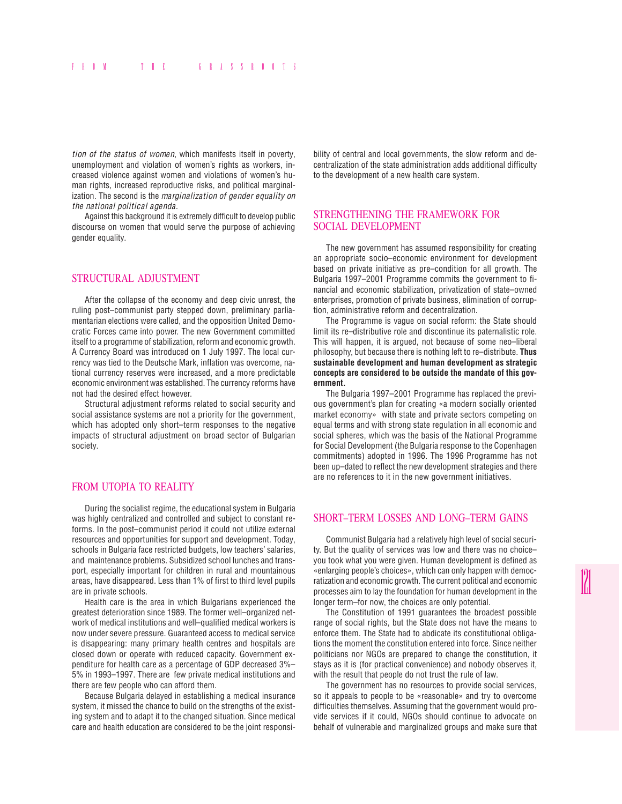*tion of the status of women*, which manifests itself in poverty, unemployment and violation of women's rights as workers, increased violence against women and violations of women's human rights, increased reproductive risks, and political marginalization. The second is the *marginalization of gender equality on the national political agenda.*

Against this background it is extremely difficult to develop public discourse on women that would serve the purpose of achieving gender equality.

# STRUCTURAL ADJUSTMENT

After the collapse of the economy and deep civic unrest, the ruling post–communist party stepped down, preliminary parliamentarian elections were called, and the opposition United Democratic Forces came into power. The new Government committed itself to a programme of stabilization, reform and economic growth. A Currency Board was introduced on 1 July 1997. The local currency was tied to the Deutsche Mark, inflation was overcome, national currency reserves were increased, and a more predictable economic environment was established. The currency reforms have not had the desired effect however.

Structural adjustment reforms related to social security and social assistance systems are not a priority for the government, which has adopted only short–term responses to the negative impacts of structural adjustment on broad sector of Bulgarian society.

# FROM UTOPIA TO REALITY

During the socialist regime, the educational system in Bulgaria was highly centralized and controlled and subject to constant reforms. In the post–communist period it could not utilize external resources and opportunities for support and development. Today, schools in Bulgaria face restricted budgets, low teachers' salaries, and maintenance problems. Subsidized school lunches and transport, especially important for children in rural and mountainous areas, have disappeared. Less than 1% of first to third level pupils are in private schools.

Health care is the area in which Bulgarians experienced the greatest deterioration since 1989. The former well–organized network of medical institutions and well–qualified medical workers is now under severe pressure. Guaranteed access to medical service is disappearing: many primary health centres and hospitals are closed down or operate with reduced capacity. Government expenditure for health care as a percentage of GDP decreased 3%– 5% in 1993–1997. There are few private medical institutions and there are few people who can afford them.

Because Bulgaria delayed in establishing a medical insurance system, it missed the chance to build on the strengths of the existing system and to adapt it to the changed situation. Since medical care and health education are considered to be the joint responsibility of central and local governments, the slow reform and decentralization of the state administration adds additional difficulty to the development of a new health care system.

## STRENGTHENING THE FRAMEWORK FOR SOCIAL DEVELOPMENT

The new government has assumed responsibility for creating an appropriate socio–economic environment for development based on private initiative as pre–condition for all growth. The Bulgaria 1997–2001 Programme commits the government to financial and economic stabilization, privatization of state–owned enterprises, promotion of private business, elimination of corruption, administrative reform and decentralization.

The Programme is vague on social reform: the State should limit its re–distributive role and discontinue its paternalistic role. This will happen, it is argued, not because of some neo–liberal philosophy, but because there is nothing left to re–distribute. **Thus sustainable development and human development as strategic concepts are considered to be outside the mandate of this government.**

The Bulgaria 1997–2001 Programme has replaced the previous government's plan for creating «a modern socially oriented market economy» with state and private sectors competing on equal terms and with strong state regulation in all economic and social spheres, which was the basis of the National Programme for Social Development (the Bulgaria response to the Copenhagen commitments) adopted in 1996. The 1996 Programme has not been up–dated to reflect the new development strategies and there are no references to it in the new government initiatives.

#### SHORT–TERM LOSSES AND LONG–TERM GAINS

Communist Bulgaria had a relatively high level of social security. But the quality of services was low and there was no choice– you took what you were given. Human development is defined as «enlarging people's choices», which can only happen with democratization and economic growth. The current political and economic processes aim to lay the foundation for human development in the longer term–for now, the choices are only potential.

The Constitution of 1991 guarantees the broadest possible range of social rights, but the State does not have the means to enforce them. The State had to abdicate its constitutional obligations the moment the constitution entered into force. Since neither politicians nor NGOs are prepared to change the constitution, it stays as it is (for practical convenience) and nobody observes it, with the result that people do not trust the rule of law.

The government has no resources to provide social services, so it appeals to people to be «reasonable» and try to overcome difficulties themselves. Assuming that the government would provide services if it could, NGOs should continue to advocate on behalf of vulnerable and marginalized groups and make sure that